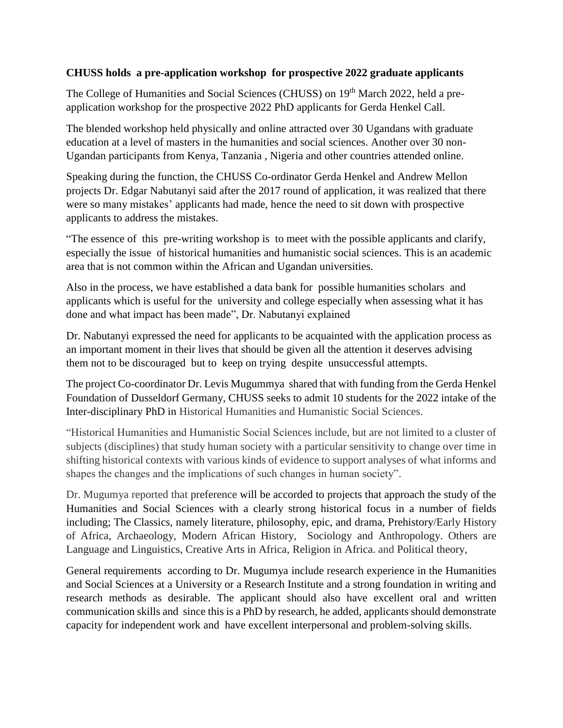## **CHUSS holds a pre-application workshop for prospective 2022 graduate applicants**

The College of Humanities and Social Sciences (CHUSS) on 19<sup>th</sup> March 2022, held a preapplication workshop for the prospective 2022 PhD applicants for Gerda Henkel Call.

The blended workshop held physically and online attracted over 30 Ugandans with graduate education at a level of masters in the humanities and social sciences. Another over 30 non-Ugandan participants from Kenya, Tanzania , Nigeria and other countries attended online.

Speaking during the function, the CHUSS Co-ordinator Gerda Henkel and Andrew Mellon projects Dr. Edgar Nabutanyi said after the 2017 round of application, it was realized that there were so many mistakes' applicants had made, hence the need to sit down with prospective applicants to address the mistakes.

"The essence of this pre-writing workshop is to meet with the possible applicants and clarify, especially the issue of historical humanities and humanistic social sciences. This is an academic area that is not common within the African and Ugandan universities.

Also in the process, we have established a data bank for possible humanities scholars and applicants which is useful for the university and college especially when assessing what it has done and what impact has been made", Dr. Nabutanyi explained

Dr. Nabutanyi expressed the need for applicants to be acquainted with the application process as an important moment in their lives that should be given all the attention it deserves advising them not to be discouraged but to keep on trying despite unsuccessful attempts.

The project Co-coordinator Dr. Levis Mugummya shared that with funding from the Gerda Henkel Foundation of Dusseldorf Germany, CHUSS seeks to admit 10 students for the 2022 intake of the Inter-disciplinary PhD in Historical Humanities and Humanistic Social Sciences.

"Historical Humanities and Humanistic Social Sciences include, but are not limited to a cluster of subjects (disciplines) that study human society with a particular sensitivity to change over time in shifting historical contexts with various kinds of evidence to support analyses of what informs and shapes the changes and the implications of such changes in human society".

Dr. Mugumya reported that preference will be accorded to projects that approach the study of the Humanities and Social Sciences with a clearly strong historical focus in a number of fields including; The Classics, namely literature, philosophy, epic, and drama, Prehistory/Early History of Africa, Archaeology, Modern African History, Sociology and Anthropology. Others are Language and Linguistics, Creative Arts in Africa, Religion in Africa. and Political theory,

General requirements according to Dr. Mugumya include research experience in the Humanities and Social Sciences at a University or a Research Institute and a strong foundation in writing and research methods as desirable. The applicant should also have excellent oral and written communication skills and since this is a PhD by research, he added, applicants should demonstrate capacity for independent work and have excellent interpersonal and problem-solving skills.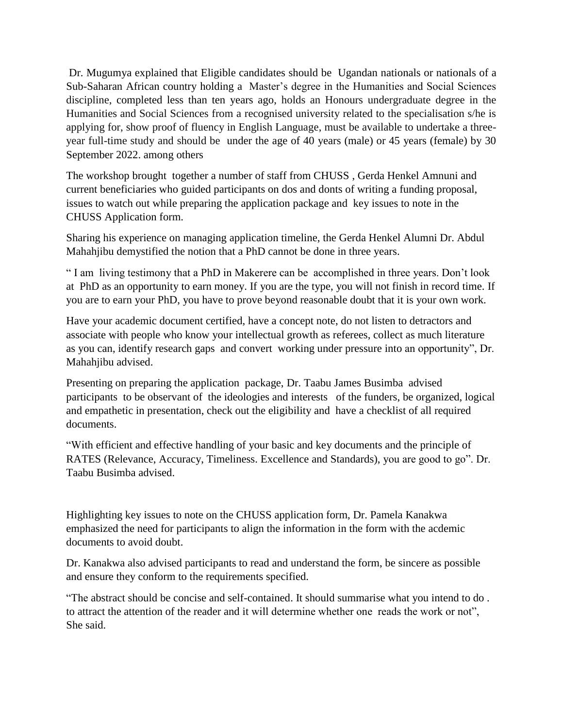Dr. Mugumya explained that Eligible candidates should be Ugandan nationals or nationals of a Sub-Saharan African country holding a Master's degree in the Humanities and Social Sciences discipline, completed less than ten years ago, holds an Honours undergraduate degree in the Humanities and Social Sciences from a recognised university related to the specialisation s/he is applying for, show proof of fluency in English Language, must be available to undertake a threeyear full-time study and should be under the age of 40 years (male) or 45 years (female) by 30 September 2022. among others

The workshop brought together a number of staff from CHUSS , Gerda Henkel Amnuni and current beneficiaries who guided participants on dos and donts of writing a funding proposal, issues to watch out while preparing the application package and key issues to note in the CHUSS Application form.

Sharing his experience on managing application timeline, the Gerda Henkel Alumni Dr. Abdul Mahahjibu demystified the notion that a PhD cannot be done in three years.

" I am living testimony that a PhD in Makerere can be accomplished in three years. Don't look at PhD as an opportunity to earn money. If you are the type, you will not finish in record time. If you are to earn your PhD, you have to prove beyond reasonable doubt that it is your own work.

Have your academic document certified, have a concept note, do not listen to detractors and associate with people who know your intellectual growth as referees, collect as much literature as you can, identify research gaps and convert working under pressure into an opportunity", Dr. Mahahjibu advised.

Presenting on preparing the application package, Dr. Taabu James Busimba advised participants to be observant of the ideologies and interests of the funders, be organized, logical and empathetic in presentation, check out the eligibility and have a checklist of all required documents.

"With efficient and effective handling of your basic and key documents and the principle of RATES (Relevance, Accuracy, Timeliness. Excellence and Standards), you are good to go". Dr. Taabu Busimba advised.

Highlighting key issues to note on the CHUSS application form, Dr. Pamela Kanakwa emphasized the need for participants to align the information in the form with the acdemic documents to avoid doubt.

Dr. Kanakwa also advised participants to read and understand the form, be sincere as possible and ensure they conform to the requirements specified.

"The abstract should be concise and self-contained. It should summarise what you intend to do . to attract the attention of the reader and it will determine whether one reads the work or not", She said.